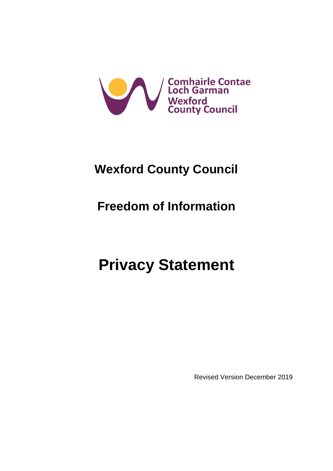

# **Wexford County Council**

# **Freedom of Information**

# **Privacy Statement**

Revised Version December 2019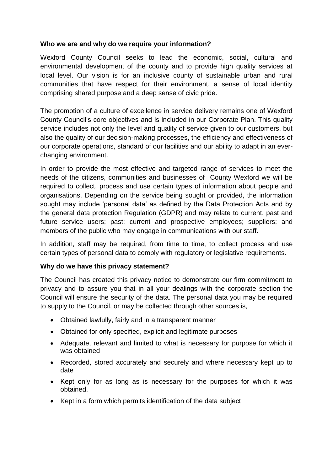### **Who we are and why do we require your information?**

Wexford County Council seeks to lead the economic, social, cultural and environmental development of the county and to provide high quality services at local level. Our vision is for an inclusive county of sustainable urban and rural communities that have respect for their environment, a sense of local identity comprising shared purpose and a deep sense of civic pride.

The promotion of a culture of excellence in service delivery remains one of Wexford County Council's core objectives and is included in our Corporate Plan. This quality service includes not only the level and quality of service given to our customers, but also the quality of our decision-making processes, the efficiency and effectiveness of our corporate operations, standard of our facilities and our ability to adapt in an everchanging environment.

In order to provide the most effective and targeted range of services to meet the needs of the citizens, communities and businesses of County Wexford we will be required to collect, process and use certain types of information about people and organisations. Depending on the service being sought or provided, the information sought may include 'personal data' as defined by the Data Protection Acts and by the general data protection Regulation (GDPR) and may relate to current, past and future service users; past; current and prospective employees; suppliers; and members of the public who may engage in communications with our staff.

In addition, staff may be required, from time to time, to collect process and use certain types of personal data to comply with regulatory or legislative requirements.

#### **Why do we have this privacy statement?**

The Council has created this privacy notice to demonstrate our firm commitment to privacy and to assure you that in all your dealings with the corporate section the Council will ensure the security of the data. The personal data you may be required to supply to the Council, or may be collected through other sources is,

- Obtained lawfully, fairly and in a transparent manner
- Obtained for only specified, explicit and legitimate purposes
- Adequate, relevant and limited to what is necessary for purpose for which it was obtained
- Recorded, stored accurately and securely and where necessary kept up to date
- Kept only for as long as is necessary for the purposes for which it was obtained.
- Kept in a form which permits identification of the data subject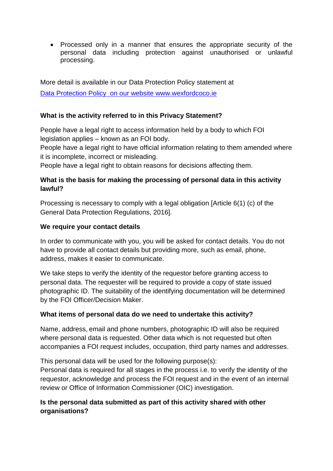• Processed only in a manner that ensures the appropriate security of the personal data including protection against unauthorised or unlawful processing.

More detail is available in our Data Protection Policy statement at Data [Protection Policy](https://www.wexfordcoco.ie/sites/default/files/content/GDPR/Wexford-County-Council-Data-Protection-Policy-GDPR-18.pdf) on our website www.wexfordcoco.ie

### **What is the activity referred to in this Privacy Statement?**

People have a legal right to access information held by a body to which FOI legislation applies – known as an FOI body.

People have a legal right to have official information relating to them amended where it is incomplete, incorrect or misleading.

People have a legal right to obtain reasons for decisions affecting them.

# **What is the basis for making the processing of personal data in this activity lawful?**

Processing is necessary to comply with a legal obligation [Article 6(1) (c) of the General Data Protection Regulations, 2016].

#### **We require your contact details**

In order to communicate with you, you will be asked for contact details. You do not have to provide all contact details but providing more, such as email, phone, address, makes it easier to communicate.

We take steps to verify the identity of the requestor before granting access to personal data. The requester will be required to provide a copy of state issued photographic ID. The suitability of the identifying documentation will be determined by the FOI Officer/Decision Maker.

# **What items of personal data do we need to undertake this activity?**

Name, address, email and phone numbers, photographic ID will also be required where personal data is requested. Other data which is not requested but often accompanies a FOI request includes, occupation, third party names and addresses.

This personal data will be used for the following purpose(s): Personal data is required for all stages in the process i.e. to verify the identity of the requestor, acknowledge and process the FOI request and in the event of an internal review or Office of Information Commissioner (OIC) investigation.

# **Is the personal data submitted as part of this activity shared with other organisations?**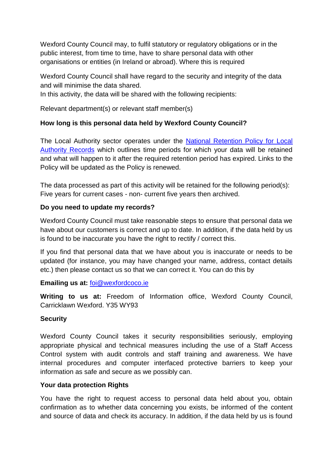Wexford County Council may, to fulfil statutory or regulatory obligations or in the public interest, from time to time, have to share personal data with other organisations or entities (in Ireland or abroad). Where this is required

Wexford County Council shall have regard to the security and integrity of the data and will minimise the data shared.

In this activity, the data will be shared with the following recipients:

Relevant department(s) or relevant staff member(s)

# **How long is this personal data held by Wexford County Council?**

The Local Authority sector operates under the [National Retention Policy for Local](http://www.lgma.ie/sites/default/files/2002_national_retention_policy_for_local_authority_records_2.pdf)  [Authority Records](http://www.lgma.ie/sites/default/files/2002_national_retention_policy_for_local_authority_records_2.pdf) which outlines time periods for which your data will be retained and what will happen to it after the required retention period has expired. Links to the Policy will be updated as the Policy is renewed.

The data processed as part of this activity will be retained for the following period(s): Five years for current cases - non- current five years then archived.

#### **Do you need to update my records?**

Wexford County Council must take reasonable steps to ensure that personal data we have about our customers is correct and up to date. In addition, if the data held by us is found to be inaccurate you have the right to rectify / correct this.

If you find that personal data that we have about you is inaccurate or needs to be updated (for instance, you may have changed your name, address, contact details etc.) then please contact us so that we can correct it. You can do this by

#### **Emailing us at:** [foi@wexfordcoco.ie](mailto:foi@wexfordcoco.ie)

**Writing to us at:** Freedom of Information office, Wexford County Council, Carricklawn Wexford. Y35 WY93

# **Security**

Wexford County Council takes it security responsibilities seriously, employing appropriate physical and technical measures including the use of a Staff Access Control system with audit controls and staff training and awareness. We have internal procedures and computer interfaced protective barriers to keep your information as safe and secure as we possibly can.

#### **Your data protection Rights**

You have the right to request access to personal data held about you, obtain confirmation as to whether data concerning you exists, be informed of the content and source of data and check its accuracy. In addition, if the data held by us is found